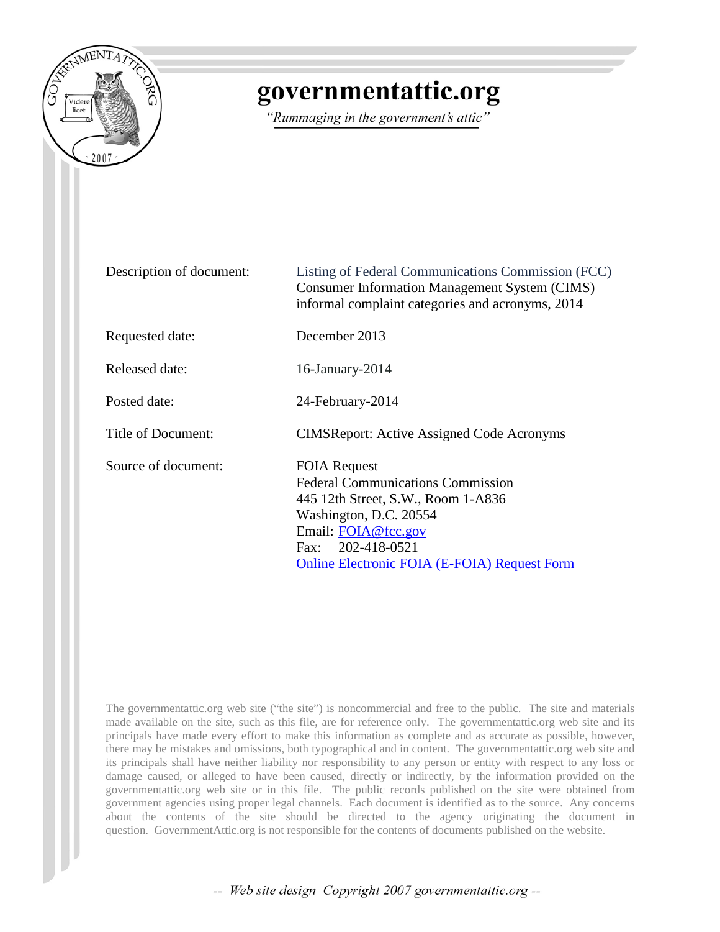

# governmentattic.org

"Rummaging in the government's attic"

| Description of document: | Listing of Federal Communications Commission (FCC)<br><b>Consumer Information Management System (CIMS)</b><br>informal complaint categories and acronyms, 2014                                                                     |
|--------------------------|------------------------------------------------------------------------------------------------------------------------------------------------------------------------------------------------------------------------------------|
| Requested date:          | December 2013                                                                                                                                                                                                                      |
| Released date:           | $16$ -January-2014                                                                                                                                                                                                                 |
| Posted date:             | 24-February-2014                                                                                                                                                                                                                   |
| Title of Document:       | <b>CIMSReport: Active Assigned Code Acronyms</b>                                                                                                                                                                                   |
| Source of document:      | <b>FOIA Request</b><br><b>Federal Communications Commission</b><br>445 12th Street, S.W., Room 1-A836<br>Washington, D.C. 20554<br>Email: FOIA@fcc.gov<br>Fax: 202-418-0521<br><b>Online Electronic FOIA (E-FOIA) Request Form</b> |

The governmentattic.org web site ("the site") is noncommercial and free to the public. The site and materials made available on the site, such as this file, are for reference only. The governmentattic.org web site and its principals have made every effort to make this information as complete and as accurate as possible, however, there may be mistakes and omissions, both typographical and in content. The governmentattic.org web site and its principals shall have neither liability nor responsibility to any person or entity with respect to any loss or damage caused, or alleged to have been caused, directly or indirectly, by the information provided on the governmentattic.org web site or in this file. The public records published on the site were obtained from government agencies using proper legal channels. Each document is identified as to the source. Any concerns about the contents of the site should be directed to the agency originating the document in question. GovernmentAttic.org is not responsible for the contents of documents published on the website.

-- Web site design Copyright 2007 governmentattic.org --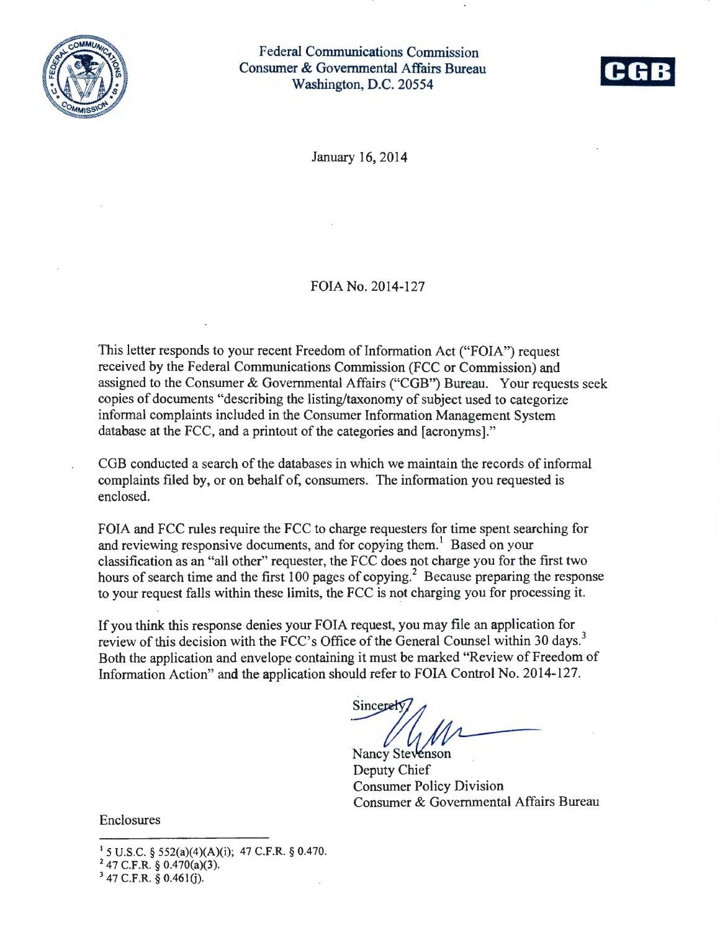

Federal Communications Commission Consumer & Governmental Affairs Bureau Washington, D.C. 20554



January 16, 2014

#### FOIA No. 2014-127

This letter responds to your recent Freedom of Information Act ("FOIA") request received by the Federal Communications Commission (FCC or Commission) and assigned to the Consumer & Governmental Affairs ("CGB") Bureau. Your requests seek copies of documents "describing the listing/taxonomy of subject used to categorize informal complaints included in the Consumer Information Management System database at the FCC, and a printout of the categories and [acronyms]."

COB conducted a search of the databases in which we maintain the records of informal complaints filed by, or on behalf of, consumers. The information you requested is enclosed.

FOIA and FCC rules require the FCC to charge requesters for time spent searching for and reviewing responsive documents, and for copying them.<sup>1</sup> Based on your classification as an "all other" requester, the FCC does not charge you for the first two hours of search time and the first  $100$  pages of copying.<sup>2</sup> Because preparing the response to your request falls within these limits, the FCC is not charging you for processing it.

If you think this response denies your FOIA request, you may file an application for review of this decision with the FCC's Office of the General Counsel within 30 days.<sup>3</sup> Both the application and envelope containing it must be marked "Review of Freedom of Information Action" and the application should refer to FOIA Control No. 2014-127.

Sincere

Nancy Stevenson Deputy Chief Consumer Policy Division Consumer & Governmental Affairs Bureau

Enclosures

1 5 U.S.C. § 552(a)(4)(A)(i); 47 C.F.R. § 0.470.<br>
<sup>2</sup> 47 C.F.R. § 0.470(a)(3).<br>
<sup>3</sup> 47 C.F.R. § 0.461(j).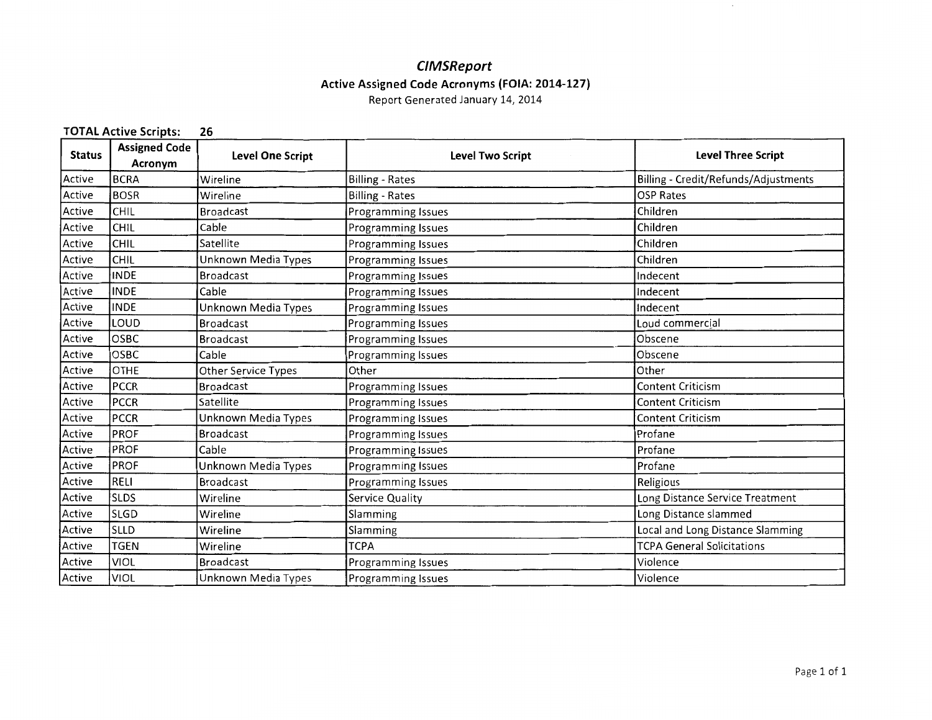#### **C/MSReport Active Assigned Code Acronyms (FOIA: 2014-127)**

Report Generated January 14, 2014

#### **TOTAL Active Scripts: 26 Status | Assigned Code | Level One Script | Level One Script | Acronym | Level One Script | Acronym | Level One Script | Acronym | Level One Script | Acron** Active BCRA Wireline Active BOSR Wireline Active CHIL Broadcast Active CHIL Cable Active CHIL Satellite Active CHIL | Unknown Media Types Active INDE Broadcast Active INDE Cable Active INDE Unknown Media Types Active |LOUD |Broadcast Active OSBC Broadcast Active OSBC Cable Active OTHE Other Service Types Active PCCR Broadcast Active PCCR Satellite Active | PCCR | Unknown Media Types Active PROF Broadcast Active PROF Cable Active PROF | Unknown Media Types Active RELI [Broadcast Active SLDS Wireline Active SLGD Wireline Active SLLD Wireline Active TGEN Wireline Active VIOL Broadcast Active VIOL JUnknown Media Types **Level Two Script**  Billing - Rates Billing - Rates Programming Issues Programming Issues Programming Issues Programming Issues Programming Issues Programming Issues Programming Issues Programming Issues Programming Issues Programming Issues Other Programming Issues Programming Issues Programming Issues Programming Issues Programming Issues Programming Issues Programming Issues Service Quality Slamming Slamming **TCPA** Programming Issues Programming Issues **Level Three Script**  Billing - Credit/Refunds/ Adjustments OSP Rates Children Children Children Children Indecent Indecent Indecent Loud commercial Obscene Obscene Other Content Criticism Content Criticism Content Criticism Profane Profane Profane Religious Long Distance Service Treatment Long Distance slammed Local and Long Distance Slamming TCPA General Solicitations Violence Violence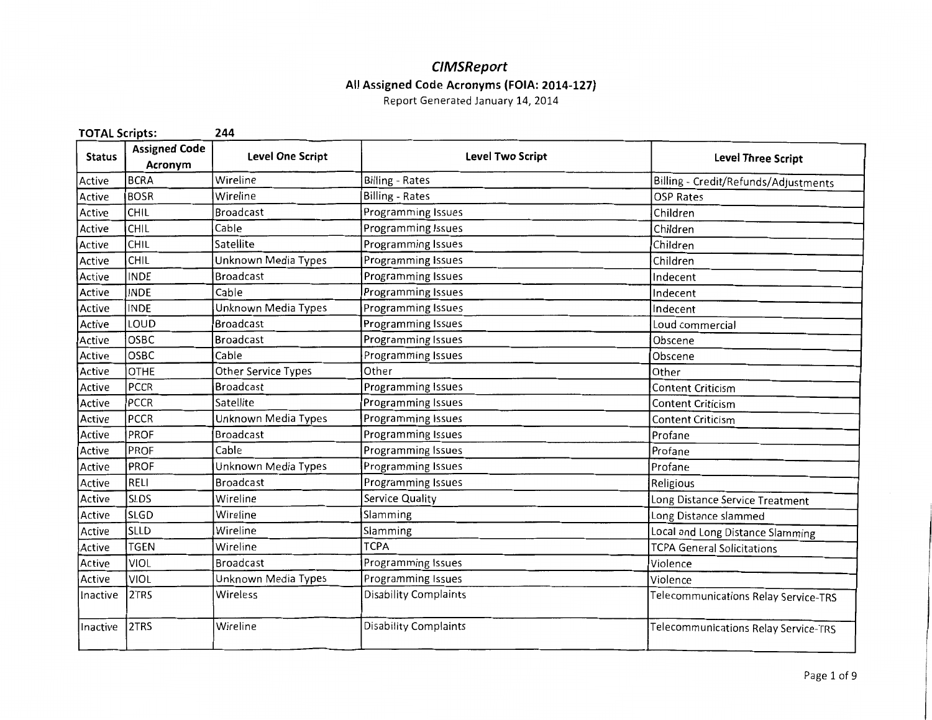### **CIMSReport All Assigned Code Acronyms (FOIA: 2014-127}**

| <b>TOTAL Scripts:</b> |                                 | 244                     |                              |                                      |
|-----------------------|---------------------------------|-------------------------|------------------------------|--------------------------------------|
| <b>Status</b>         | <b>Assigned Code</b><br>Acronym | <b>Level One Script</b> | <b>Level Two Script</b>      | <b>Level Three Script</b>            |
| Active                | <b>BCRA</b>                     | Wireline                | <b>Billing - Rates</b>       | Billing - Credit/Refunds/Adjustments |
| Active                | <b>BOSR</b>                     | Wireline                | <b>Billing - Rates</b>       | <b>OSP Rates</b>                     |
| Active                | CHIL                            | <b>Broadcast</b>        | Programming Issues           | Children                             |
| Active                | CHIL                            | Cable                   | Programming Issues           | Children                             |
| Active                | CHIL                            | Satellite               | Programming Issues           | Children                             |
| Active                | CHIL                            | Unknown Media Types     | Programming Issues           | Children                             |
| Active                | <b>INDE</b>                     | <b>Broadcast</b>        | Programming Issues           | Indecent                             |
| Active                | <b>INDE</b>                     | Cable                   | Programming Issues           | Indecent                             |
| Active                | <b>INDE</b>                     | Unknown Media Types     | Programming Issues           | Indecent                             |
| Active                | LOUD                            | <b>Broadcast</b>        | Programming Issues           | Loud commercial                      |
| Active                | OSBC                            | <b>Broadcast</b>        | Programming Issues           | Obscene                              |
| Active                | OSBC                            | Cable                   | Programming Issues           | Obscene                              |
| Active                | OTHE                            | Other Service Types     | Other                        | Other                                |
| Active                | <b>PCCR</b>                     | <b>Broadcast</b>        | Programming Issues           | <b>Content Criticism</b>             |
| Active                | <b>PCCR</b>                     | Satellite               | <b>Programming Issues</b>    | <b>Content Criticism</b>             |
| Active                | <b>PCCR</b>                     | Unknown Media Types     | Programming Issues           | <b>Content Criticism</b>             |
| Active                | PROF                            | <b>Broadcast</b>        | Programming Issues           | Profane                              |
| Active                | PROF                            | Cable                   | Programming Issues           | Profane                              |
| Active                | PROF                            | Unknown Media Types     | Programming Issues           | Profane                              |
| Active                | RELI                            | <b>Broadcast</b>        | Programming Issues           | Religious                            |
| Active                | <b>SLDS</b>                     | Wireline                | <b>Service Quality</b>       | Long Distance Service Treatment      |
| Active                | <b>SLGD</b>                     | Wireline                | Slamming                     | Long Distance slammed                |
| Active                | <b>SLLD</b>                     | Wireline                | Slamming                     | Local and Long Distance Slamming     |
| Active                | <b>TGEN</b>                     | Wireline                | <b>TCPA</b>                  | <b>TCPA General Solicitations</b>    |
| Active                | VIOL                            | <b>Broadcast</b>        | Programming Issues           | Violence                             |
| Active                | <b>VIOL</b>                     | Unknown Media Types     | Programming Issues           | Violence                             |
| Inactive              | 2TRS                            | Wireless                | <b>Disability Complaints</b> | Telecommunications Relay Service-TRS |
| Inactive              | 2TRS                            | Wireline                | <b>Disability Complaints</b> | Telecommunications Relay Service-TRS |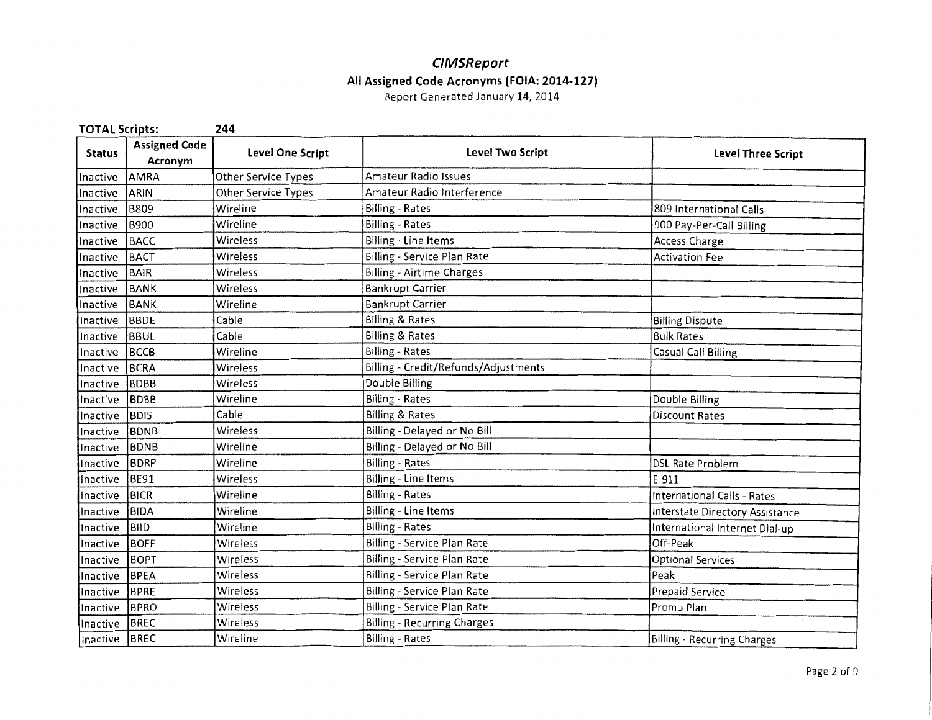#### **CIMSReport All Assigned Code Acronyms (FOIA: 2014-127}**  Report Generated January 14, 2014

| <b>TOTAL Scripts:</b> |                                 | 244                 |                                      |                                 |
|-----------------------|---------------------------------|---------------------|--------------------------------------|---------------------------------|
| <b>Status</b>         | <b>Assigned Code</b><br>Acronym | Level One Script    | <b>Level Two Script</b>              | <b>Level Three Script</b>       |
| Inactive              | AMRA                            | Other Service Types | <b>Amateur Radio Issues</b>          |                                 |
| Inactive              | ARIN                            | Other Service Types | Amateur Radio Interference           |                                 |
| Inactive              | B809                            | Wireline            | <b>Billing - Rates</b>               | 809 International Calls         |
| Inactive              | <b>B900</b>                     | Wireline            | <b>Billing - Rates</b>               | 900 Pay-Per-Call Billing        |
| Inactive              | <b>BACC</b>                     | Wireless            | Billing - Line Items                 | Access Charge                   |
| Inactive              | <b>BACT</b>                     | Wireless            | Billing - Service Plan Rate          | <b>Activation Fee</b>           |
| Inactive              | <b>BAIR</b>                     | Wireless            | <b>Billing - Airtime Charges</b>     |                                 |
| Inactive              | BANK                            | Wireless            | <b>Bankrupt Carrier</b>              |                                 |
| Inactive              | BANK                            | Wireline            | <b>Bankrupt Carrier</b>              |                                 |
| Inactive              | BBDE                            | Cable               | Billing & Rates                      | <b>Billing Dispute</b>          |
| Inactive              | BBUL                            | Cable               | <b>Billing &amp; Rates</b>           | <b>Bulk Rates</b>               |
| Inactive              | BCCB                            | Wireline            | Billing - Rates                      | Casual Call Billing             |
| Inactive              | <b>BCRA</b>                     | Wireless            | Billing - Credit/Refunds/Adjustments |                                 |
| Inactive              | <b>BDBB</b>                     | Wireless            | Double Billing                       |                                 |
| Inactive              | <b>BDBB</b>                     | Wireline            | <b>Billing - Rates</b>               | Double Billing                  |
| Inactive              | <b>BDIS</b>                     | Cable               | <b>Billing &amp; Rates</b>           | <b>Discount Rates</b>           |
| Inactive              | BDNB                            | Wireless            | Billing - Delayed or No Bill         |                                 |
| Inactive              | BDNB                            | Wireline            | Billing - Delayed or No Bill         |                                 |
| Inactive              | <b>BDRP</b>                     | Wireline            | <b>Billing - Rates</b>               | <b>DSL Rate Problem</b>         |
| Inactive              | <b>BE91</b>                     | Wireless            | <b>Billing - Line Items</b>          | $E-911$                         |
| Inactive              | BICR                            | Wireline            | <b>Billing - Rates</b>               | International Calls - Rates     |
| Inactive              | BIDA                            | Wireline            | Billing - Line Items                 | Interstate Directory Assistance |
| Inactive              | BIID                            | Wireline            | <b>Billing - Rates</b>               | International Internet Dial-up  |
| Inactive              | <b>BOFF</b>                     | Wireless            | Billing - Service Plan Rate          | Off-Peak                        |
| Inactive              | <b>BOPT</b>                     | Wireless            | Billing - Service Plan Rate          | <b>Optional Services</b>        |
| Inactive              | <b>BPEA</b>                     | Wireless            | Billing - Service Plan Rate          | Peak                            |
| Inactive              | BPRE                            | Wireless            | Billing - Service Plan Rate          | Prepaid Service                 |
| Inactive              | <b>BPRO</b>                     | Wireless            | Billing - Service Plan Rate          | Promo Plan                      |
| Inactive              | BREC                            | Wireless            | <b>Billing - Recurring Charges</b>   |                                 |
| Inactive BREC         |                                 | Wireline            | <b>Billing - Rates</b>               | Billing - Recurring Charges     |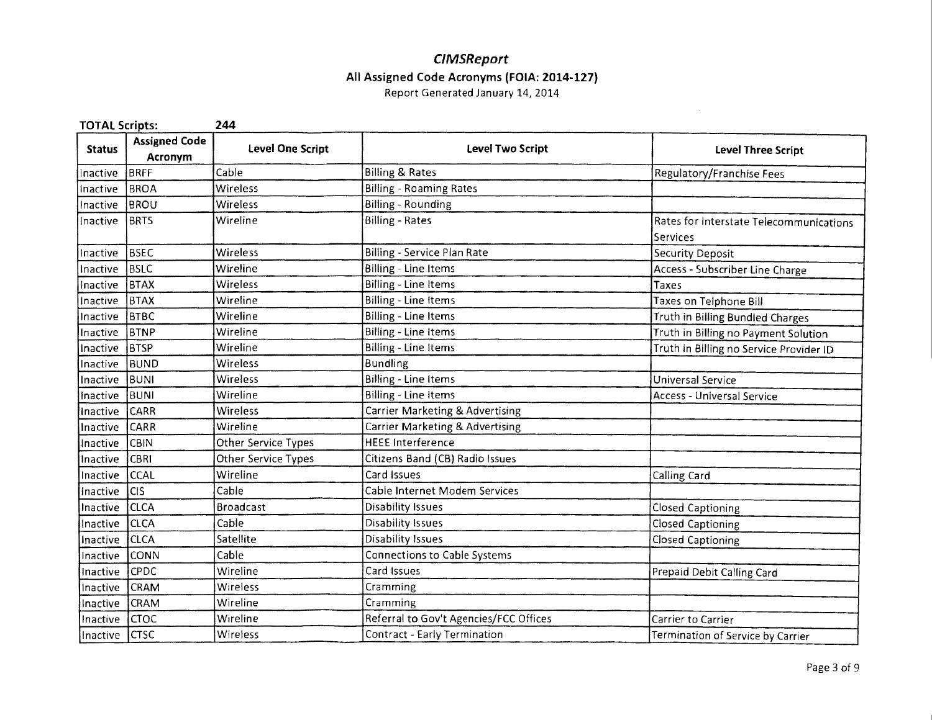#### **CIMSReport All Assigned Code Acronyms (FOIA: 2014·127)**  Report Generated January 14, 2014

 $\sim$ 

| <b>TOTAL Scripts:</b> |                                 | 244                        |                                        |                                                            |
|-----------------------|---------------------------------|----------------------------|----------------------------------------|------------------------------------------------------------|
| <b>Status</b>         | <b>Assigned Code</b><br>Acronym | <b>Level One Script</b>    | Level Two Script                       | <b>Level Three Script</b>                                  |
| Inactive              | BRFF                            | Cable                      | <b>Billing &amp; Rates</b>             | Regulatory/Franchise Fees                                  |
| Inactive              | <b>BROA</b>                     | Wireless                   | Billing - Roaming Rates                |                                                            |
| Inactive              | BROU                            | Wireless                   | <b>Billing - Rounding</b>              |                                                            |
| Inactive              | <b>BRTS</b>                     | Wireline                   | <b>Billing - Rates</b>                 | Rates for Interstate Telecommunications<br><b>Services</b> |
| Inactive              | <b>BSEC</b>                     | Wireless                   | Billing - Service Plan Rate            | Security Deposit                                           |
| Inactive              | <b>BSLC</b>                     | Wireline                   | Billing - Line Items                   | Access - Subscriber Line Charge                            |
| Inactive              | BTAX                            | Wireless                   | Billing - Line Items                   | Taxes                                                      |
| Inactive              | <b>BTAX</b>                     | Wireline                   | Billing - Line Items                   | Taxes on Telphone Bill                                     |
| Inactive              | ВТВС                            | Wireline                   | <b>Billing - Line Items</b>            | Truth in Billing Bundled Charges                           |
| Inactive              | BTNP                            | Wireline                   | Billing - Line Items                   | Truth in Billing no Payment Solution                       |
| Inactive              | BTSP                            | Wireline                   | Billing - Line Items                   | Truth in Billing no Service Provider ID                    |
| Inactive              | BUND                            | Wireless                   | <b>Bundling</b>                        |                                                            |
| Inactive              | BUNI                            | Wireless                   | <b>Billing - Line Items</b>            | Universal Service                                          |
| Inactive              | BUNI                            | Wireline                   | <b>Billing - Line Items</b>            | Access - Universal Service                                 |
| Inactive              | CARR                            | Wireless                   | Carrier Marketing & Advertising        |                                                            |
| Inactive              | CARR                            | Wireline                   | Carrier Marketing & Advertising        |                                                            |
| Inactive              | CBIN                            | Other Service Types        | <b>HEEE Interference</b>               |                                                            |
| Inactive              | <b>CBRI</b>                     | <b>Other Service Types</b> | Citizens Band (CB) Radio Issues        |                                                            |
| Inactive              | <b>CCAL</b>                     | Wireline                   | Card Issues                            | Calling Card                                               |
| Inactive              | <b>CIS</b>                      | Cable                      | Cable Internet Modem Services          |                                                            |
| Inactive              | <b>CLCA</b>                     | <b>Broadcast</b>           | <b>Disability Issues</b>               | <b>Closed Captioning</b>                                   |
| Inactive              | <b>CLCA</b>                     | Cable                      | Disability Issues                      | Closed Captioning                                          |
| Inactive              | <b>CLCA</b>                     | Satellite                  | Disability Issues                      | <b>Closed Captioning</b>                                   |
| Inactive              | CONN                            | Cable                      | Connections to Cable Systems           |                                                            |
| Inactive              | <b>CPDC</b>                     | Wireline                   | Card Issues                            | Prepaid Debit Calling Card                                 |
| Inactive              | CRAM                            | Wireless                   | Cramming                               |                                                            |
| Inactive              | <b>CRAM</b>                     | Wireline                   | Cramming                               |                                                            |
| Inactive              | <b>CTOC</b>                     | Wireline                   | Referral to Gov't Agencies/FCC Offices | Carrier to Carrier                                         |
| Inactive              | <b>CTSC</b>                     | Wireless                   | <b>Contract - Early Termination</b>    | Termination of Service by Carrier                          |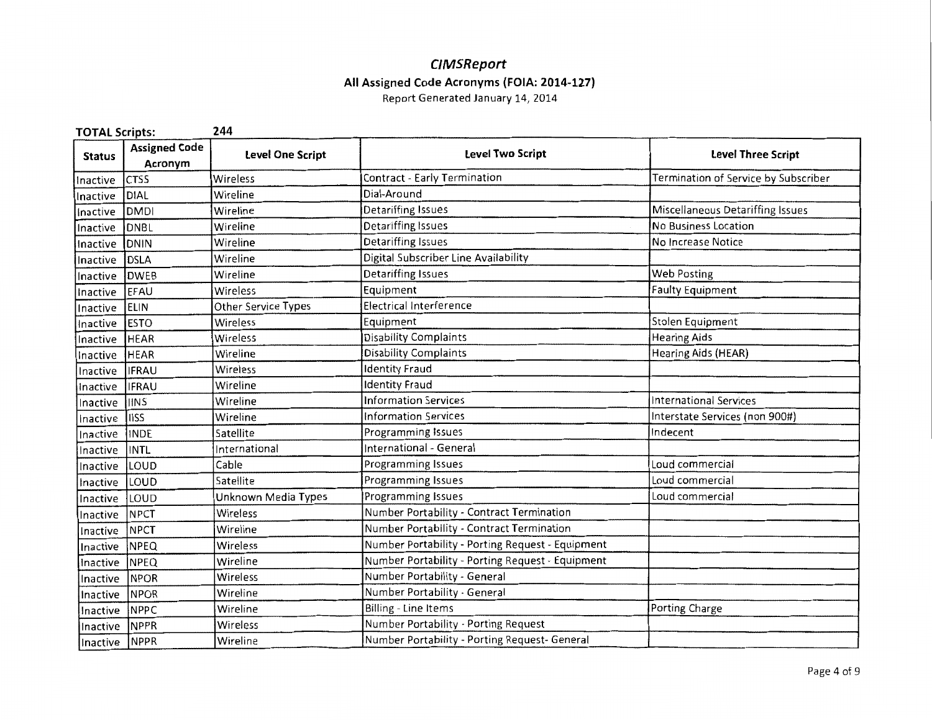#### **C/MSReport All Assigned Code Acronyms (FOIA: 2014-127}**

| <b>TOTAL Scripts:</b> |                                 | 244                     |                                                  |                                      |
|-----------------------|---------------------------------|-------------------------|--------------------------------------------------|--------------------------------------|
| <b>Status</b>         | <b>Assigned Code</b><br>Acronym | <b>Level One Script</b> | Level Two Script                                 | Level Three Script                   |
| Inactive              | <b>CTSS</b>                     | Wireless                | Contract - Early Termination                     | Termination of Service by Subscriber |
| Inactive              | DIAL                            | Wireline                | Dial-Around                                      |                                      |
| Inactive              | DMDI                            | Wireline                | <b>Detariffing Issues</b>                        | Miscellaneous Detariffing Issues     |
| Inactive              | DNBL                            | Wireline                | Detariffing Issues                               | No Business Location                 |
| Inactive              | <b>DNIN</b>                     | Wireline                | Detariffing Issues                               | No Increase Notice                   |
| Inactive              | DSLA                            | Wireline                | Digital Subscriber Line Availability             |                                      |
| Inactive              | <b>DWEB</b>                     | Wireline                | <b>Detariffing Issues</b>                        | <b>Web Posting</b>                   |
| Inactive              | EFAU                            | Wireless                | Equipment                                        | <b>Faulty Equipment</b>              |
| Inactive              | <b>ELIN</b>                     | Other Service Types     | <b>Electrical Interference</b>                   |                                      |
| Inactive              | <b>ESTO</b>                     | Wireless                | Equipment                                        | Stolen Equipment                     |
| Inactive              | <b>HEAR</b>                     | Wireless                | Disability Complaints                            | <b>Hearing Aids</b>                  |
| Inactive              | <b>HEAR</b>                     | Wireline                | <b>Disability Complaints</b>                     | Hearing Aids (HEAR)                  |
| Inactive              | <b>IFRAU</b>                    | Wireless                | <b>Identity Fraud</b>                            |                                      |
| Inactive              | <b>IFRAU</b>                    | Wireline                | <b>Identity Fraud</b>                            |                                      |
| Inactive              | <b>IINS</b>                     | Wireline                | <b>Information Services</b>                      | <b>International Services</b>        |
| Inactive              | IIISS                           | Wireline                | <b>Information Services</b>                      | Interstate Services (non 900#)       |
| Inactive              | <b>INDE</b>                     | Satellite               | Programming Issues                               | Indecent                             |
| Inactive              | <b>INTL</b>                     | International           | International - General                          |                                      |
| Inactive              | LOUD                            | Cable                   | Programming Issues                               | Loud commercial                      |
| Inactive              | LOUD                            | Satellite               | Programming Issues                               | Loud commercial                      |
| Inactive              | LOUD                            | Unknown Media Types     | Programming Issues                               | Loud commercial                      |
| Inactive              | <b>NPCT</b>                     | Wireless                | Number Portability - Contract Termination        |                                      |
| Inactive              | <b>NPCT</b>                     | Wireline                | Number Portability - Contract Termination        |                                      |
| Inactive              | <b>NPEQ</b>                     | Wireless                | Number Portability - Porting Request - Equipment |                                      |
| Inactive              | NPEQ                            | Wireline                | Number Portability - Porting Request - Equipment |                                      |
| Inactive              | NPOR                            | Wireless                | Number Portability - General                     |                                      |
| Inactive              | <b>NPOR</b>                     | Wireline                | Number Portability - General                     |                                      |
| Inactive              | <b>NPPC</b>                     | Wireline                | Billing - Line Items                             | Porting Charge                       |
| Inactive              | <b>NPPR</b>                     | Wireless                | Number Portability - Porting Request             |                                      |
| Inactive NPPR         |                                 | Wireline                | Number Portability - Porting Request- General    |                                      |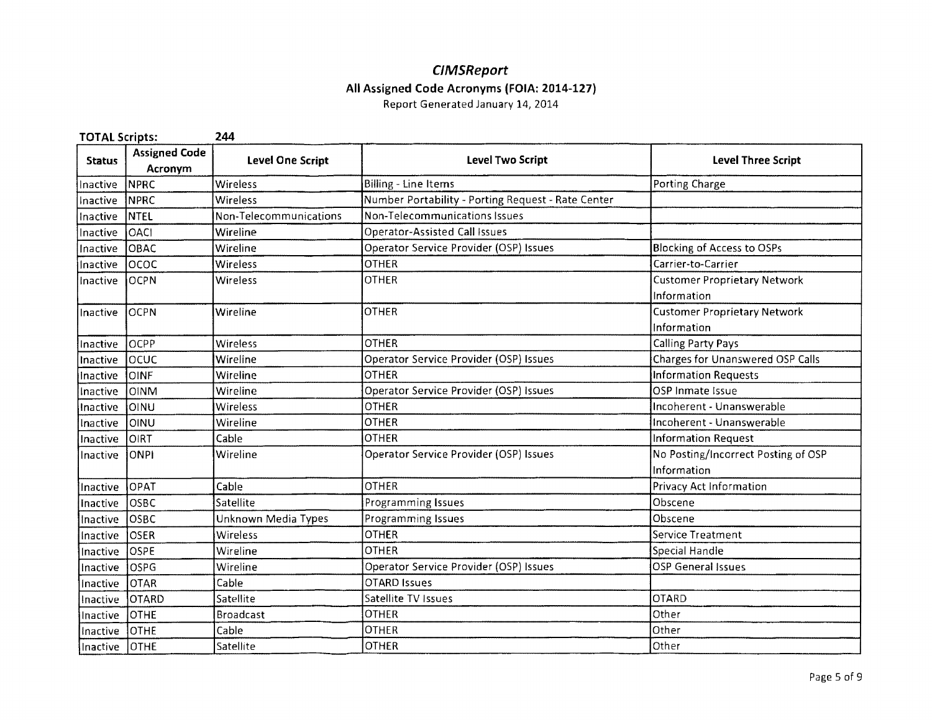# **CIMSReport All Assigned Code Acronyms (FOIA: 2014-127)**

| <b>TOTAL Scripts:</b> |                                 | 244                     |                                                    |                                     |
|-----------------------|---------------------------------|-------------------------|----------------------------------------------------|-------------------------------------|
| <b>Status</b>         | <b>Assigned Code</b><br>Acronym | <b>Level One Script</b> | <b>Level Two Script</b>                            | <b>Level Three Script</b>           |
| Inactive              | NPRC                            | Wireless                | Billing - Line Items                               | Porting Charge                      |
| Inactive              | <b>NPRC</b>                     | Wireless                | Number Portability - Porting Request - Rate Center |                                     |
| Inactive              | <b>NTEL</b>                     | Non-Telecommunications  | Non-Telecommunications Issues                      |                                     |
| Inactive              | OACI                            | Wireline                | <b>Operator-Assisted Call Issues</b>               |                                     |
| Inactive              | OBAC                            | Wireline                | Operator Service Provider (OSP) Issues             | <b>Blocking of Access to OSPs</b>   |
| Inactive              | lococ                           | Wireless                | <b>OTHER</b>                                       | Carrier-to-Carrier                  |
| Inactive              | <b>OCPN</b>                     | Wireless                | <b>OTHER</b>                                       | <b>Customer Proprietary Network</b> |
|                       |                                 |                         |                                                    | Information                         |
| Inactive              | <b>OCPN</b>                     | Wireline                | <b>OTHER</b>                                       | <b>Customer Proprietary Network</b> |
|                       |                                 |                         |                                                    | Information                         |
| Inactive              | locPP                           | Wireless                | <b>OTHER</b>                                       | <b>Calling Party Pays</b>           |
| Inactive              | locuc                           | Wireline                | Operator Service Provider (OSP) Issues             | Charges for Unanswered OSP Calls    |
| Inactive              | <b>JOINE</b>                    | Wireline                | <b>OTHER</b>                                       | <b>Information Requests</b>         |
| Inactive              | <b>OINM</b>                     | Wireline                | Operator Service Provider (OSP) Issues             | OSP Inmate Issue                    |
| Inactive              | loinu                           | Wireless                | <b>OTHER</b>                                       | Incoherent - Unanswerable           |
| Inactive              | OINU                            | Wireline                | <b>OTHER</b>                                       | Incoherent - Unanswerable           |
| Inactive              | Ioirt                           | Cable                   | OTHER                                              | Information Request                 |
| Inactive              | <b>ONPI</b>                     | Wireline                | Operator Service Provider (OSP) Issues             | No Posting/Incorrect Posting of OSP |
|                       |                                 |                         |                                                    | Information                         |
| Inactive              | <b>OPAT</b>                     | Cable                   | <b>OTHER</b>                                       | Privacy Act Information             |
| Inactive              | OSBC                            | Satellite               | Programming Issues                                 | Obscene                             |
| Inactive              | OSBC                            | Unknown Media Types     | Programming Issues                                 | Obscene                             |
| Inactive              | loser                           | Wireless                | OTHER                                              | Service Treatment                   |
| Inactive              | OSPE                            | Wireline                | <b>OTHER</b>                                       | Special Handle                      |
| Inactive              | OSPG                            | Wireline                | Operator Service Provider (OSP) Issues             | OSP General Issues                  |
| Inactive              | <b>OTAR</b>                     | Cable                   | <b>OTARD Issues</b>                                |                                     |
| Inactive              | <b>OTARD</b>                    | Satellite               | Satellite TV Issues                                | <b>OTARD</b>                        |
| Inactive              | <b>OTHE</b>                     | <b>Broadcast</b>        | <b>OTHER</b>                                       | Other                               |
| Inactive              | <b>OTHE</b>                     | Cable                   | <b>OTHER</b>                                       | Other                               |
| Inactive              | <b>OTHE</b>                     | Satellite               | <b>OTHER</b>                                       | Other                               |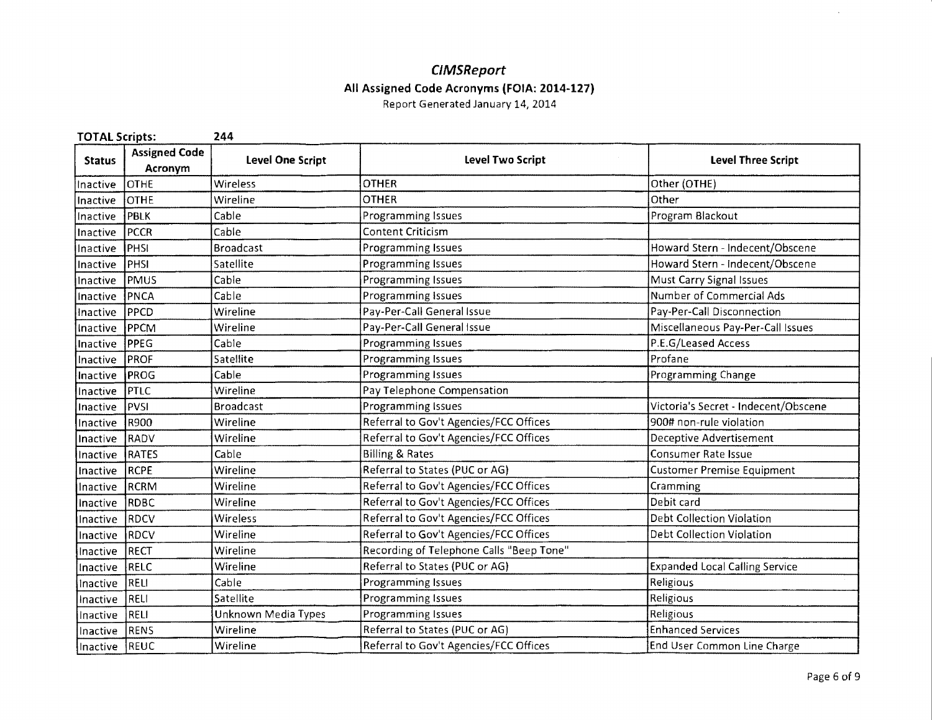# **CIMSReport All Assigned Code Acronyms (FOIA: 2014-127)**

| <b>TOTAL Scripts:</b> |                                 | 244                        |                                          |                                       |
|-----------------------|---------------------------------|----------------------------|------------------------------------------|---------------------------------------|
| <b>Status</b>         | <b>Assigned Code</b><br>Acronym | Level One Script           | Level Two Script                         | <b>Level Three Script</b>             |
| Inactive              | <b>OTHE</b>                     | Wireless                   | <b>OTHER</b>                             | Other (OTHE)                          |
| Inactive              | <b>OTHE</b>                     | Wireline                   | <b>OTHER</b>                             | Other                                 |
| Inactive              | <b>PBLK</b>                     | Cable                      | Programming Issues                       | Program Blackout                      |
| Inactive              | <b>PCCR</b>                     | Cable                      | <b>Content Criticism</b>                 |                                       |
| Inactive              | PHSI                            | <b>Broadcast</b>           | Programming Issues                       | Howard Stern - Indecent/Obscene       |
| Inactive              | <b>PHSI</b>                     | Satellite                  | <b>Programming Issues</b>                | Howard Stern - Indecent/Obscene       |
| Inactive              | PMUS                            | Cable                      | Programming Issues                       | Must Carry Signal Issues              |
| Inactive              | PNCA                            | Cable                      | Programming Issues                       | Number of Commercial Ads              |
| Inactive              | PPCD                            | Wireline                   | Pay-Per-Call General Issue               | Pay-Per-Call Disconnection            |
| Inactive              | PPCM                            | Wireline                   | Pay-Per-Call General Issue               | Miscellaneous Pay-Per-Call Issues     |
| Inactive              | <b>PPEG</b>                     | Cable                      | Programming Issues                       | P.E.G/Leased Access                   |
| Inactive              | <b>PROF</b>                     | Satellite                  | Programming Issues                       | Profane                               |
| Inactive              | PROG                            | Cable                      | <b>Programming Issues</b>                | Programming Change                    |
| Inactive              | <b>PTLC</b>                     | Wireline                   | Pay Telephone Compensation               |                                       |
| Inactive              | PVSI                            | <b>Broadcast</b>           | Programming Issues                       | Victoria's Secret - Indecent/Obscene  |
| Inactive              | R900                            | Wireline                   | Referral to Gov't Agencies/FCC Offices   | 900# non-rule violation               |
| Inactive              | RADV                            | Wireline                   | Referral to Gov't Agencies/FCC Offices   | Deceptive Advertisement               |
| Inactive              | <b>RATES</b>                    | Cable                      | <b>Billing &amp; Rates</b>               | <b>Consumer Rate Issue</b>            |
| Inactive              | RCPE                            | Wireline                   | Referral to States (PUC or AG)           | <b>Customer Premise Equipment</b>     |
| Inactive              | RCRM                            | Wireline                   | Referral to Gov't Agencies/FCC Offices   | Cramming                              |
| Inactive              | RDBC                            | Wireline                   | Referral to Gov't Agencies/FCC Offices   | Debit card                            |
| Inactive              | RDCV                            | Wireless                   | Referral to Gov't Agencies/FCC Offices   | Debt Collection Violation             |
| Inactive              | RDCV                            | Wireline                   | Referral to Gov't Agencies/FCC Offices   | Debt Collection Violation             |
| Inactive              | RECT                            | Wireline                   | Recording of Telephone Calls "Beep Tone" |                                       |
| Inactive              | RELC                            | Wireline                   | Referral to States (PUC or AG)           | <b>Expanded Local Calling Service</b> |
| Inactive              | <b>RELI</b>                     | Cable                      | Programming Issues                       | Religious                             |
| Inactive              | RELI                            | Satellite                  | Programming Issues                       | Religious                             |
| Inactive              | RELI                            | <b>Unknown Media Types</b> | Programming Issues                       | Religious                             |
| Inactive              | RENS                            | Wireline                   | Referral to States (PUC or AG)           | <b>Enhanced Services</b>              |
| Inactive              | REUC                            | Wireline                   | Referral to Gov't Agencies/FCC Offices   | End User Common Line Charge           |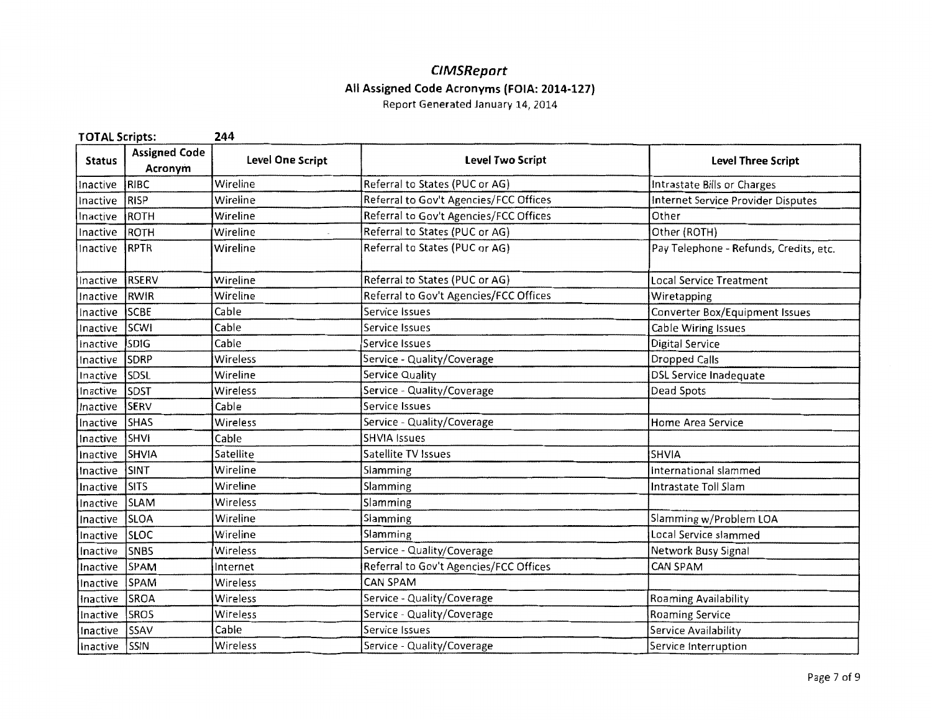# **C/MSReport All Assigned Code Acronyms (FOIA: 2014-127)**

| <b>TOTAL Scripts:</b> |                                 | 244                     |                                        |                                        |
|-----------------------|---------------------------------|-------------------------|----------------------------------------|----------------------------------------|
| <b>Status</b>         | <b>Assigned Code</b><br>Acronym | <b>Level One Script</b> | <b>Level Two Script</b>                | <b>Level Three Script</b>              |
| Inactive              | RIBC                            | Wireline                | Referral to States (PUC or AG)         | Intrastate Bills or Charges            |
| Inactive              | RISP                            | Wireline                | Referral to Gov't Agencies/FCC Offices | Internet Service Provider Disputes     |
| Inactive              | ROTH                            | Wireline                | Referral to Gov't Agencies/FCC Offices | Other                                  |
| Inactive              | ROTH                            | Wireline                | Referral to States (PUC or AG)         | Other (ROTH)                           |
| Inactive              | RPTR                            | Wireline                | Referral to States (PUC or AG)         | Pay Telephone - Refunds, Credits, etc. |
| Inactive              | RSERV                           | Wireline                | Referral to States (PUC or AG)         | <b>Local Service Treatment</b>         |
| Inactive              | RWIR                            | Wireline                | Referral to Gov't Agencies/FCC Offices | Wiretapping                            |
| Inactive              | SCBE                            | Cable                   | Service Issues                         | Converter Box/Equipment Issues         |
| Inactive              | SCWI                            | Cable                   | Service Issues                         | Cable Wiring Issues                    |
| Inactive              | <b>SDIG</b>                     | Cable                   | Service Issues                         | <b>Digital Service</b>                 |
| Inactive              | SDRP                            | Wireless                | Service - Quality/Coverage             | <b>Dropped Calls</b>                   |
| Inactive              | <b>SDSL</b>                     | Wireline                | Service Quality                        | DSL Service Inadequate                 |
| Inactive              | <b>SDST</b>                     | Wireless                | Service - Quality/Coverage             | Dead Spots                             |
| Inactive              | <b>SERV</b>                     | Cable                   | Service Issues                         |                                        |
| Inactive              | <b>SHAS</b>                     | Wireless                | Service - Quality/Coverage             | Home Area Service                      |
| Inactive              | SHVI                            | Cable                   | <b>SHVIA Issues</b>                    |                                        |
| Inactive              | SHVIA                           | Satellite               | Satellite TV Issues                    | SHVIA                                  |
| Inactive              | SINT                            | Wireline                | Slamming                               | International slammed                  |
| Inactive              | <b>ISITS</b>                    | Wireline                | Slamming                               | Intrastate Toll Slam                   |
| Inactive              | <b>SLAM</b>                     | Wireless                | Slamming                               |                                        |
| Inactive              | <b>SLOA</b>                     | Wireline                | Slamming                               | Slamming w/Problem LOA                 |
| Inactive              | <b>SLOC</b>                     | Wireline                | Slamming                               | Local Service slammed                  |
| Inactive              | <b>SNBS</b>                     | Wireless                | Service - Quality/Coverage             | Network Busy Signal                    |
| Inactive              | <b>SPAM</b>                     | Internet                | Referral to Gov't Agencies/FCC Offices | <b>CAN SPAM</b>                        |
| Inactive              | <b>SPAM</b>                     | Wireless                | <b>CAN SPAM</b>                        |                                        |
| Inactive              | <b>SROA</b>                     | Wireless                | Service - Quality/Coverage             | Roaming Availability                   |
| Inactive              | SROS                            | Wireless                | Service - Quality/Coverage             | Roaming Service                        |
| Inactive              | SSAV                            | Cable                   | Service Issues                         | Service Availability                   |
| Inactive              | SSIN                            | Wireless                | Service - Quality/Coverage             | Service Interruption                   |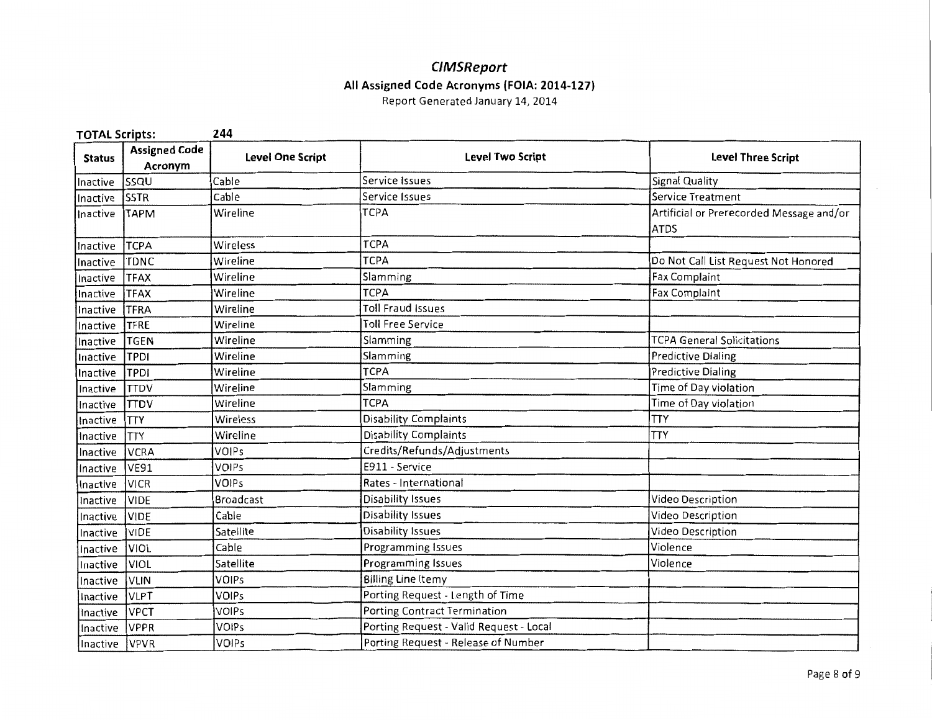#### CIMSReport All Assigned Code Acronyms (FOIA: 2014-127}

| <b>TOTAL Scripts:</b> |                                 | 244              |                                         |                                                         |
|-----------------------|---------------------------------|------------------|-----------------------------------------|---------------------------------------------------------|
| <b>Status</b>         | <b>Assigned Code</b><br>Acronym | Level One Script | <b>Level Two Script</b>                 | <b>Level Three Script</b>                               |
| Inactive              | lssqu                           | Cable            | Service Issues                          | Signal Quality                                          |
| Inactive              | <b>SSTR</b>                     | Cable            | Service Issues                          | Service Treatment                                       |
| Inactive              | <b>TAPM</b>                     | Wireline         | <b>TCPA</b>                             | Artificial or Prerecorded Message and/or<br><b>ATDS</b> |
| Inactive              | <b>TCPA</b>                     | Wireless         | <b>TCPA</b>                             |                                                         |
| Inactive              | <b>TDNC</b>                     | Wireline         | <b>TCPA</b>                             | Do Not Call List Request Not Honored                    |
| Inactive              | <b>TFAX</b>                     | Wireline         | Slamming                                | Fax Complaint                                           |
| Inactive              | <b>TFAX</b>                     | Wireline         | <b>TCPA</b>                             | <b>Fax Complaint</b>                                    |
| Inactive              | <b>TFRA</b>                     | Wireline         | <b>Toll Fraud Issues</b>                |                                                         |
| Inactive              | TFRE                            | Wireline         | <b>Toll Free Service</b>                |                                                         |
| Inactive              | <b>TGEN</b>                     | Wireline         | Slamming                                | <b>TCPA General Solicitations</b>                       |
| Inactive              | <b>TPDI</b>                     | Wireline         | Slamming                                | <b>Predictive Dialing</b>                               |
| Inactive              | TPDI                            | Wireline         | <b>TCPA</b>                             | <b>Predictive Dialing</b>                               |
| Inactive              | <b>TTDV</b>                     | Wireline         | Slamming                                | Time of Day violation                                   |
| Inactive              | <b>TTDV</b>                     | Wireline         | <b>TCPA</b>                             | Time of Day violation                                   |
| Inactive              | <b>TTY</b>                      | Wireless         | <b>Disability Complaints</b>            | <b>TTY</b>                                              |
| Inactive              | <b>TTY</b>                      | Wireline         | Disability Complaints                   | <b>TTY</b>                                              |
| Inactive              | <b>VCRA</b>                     | <b>VOIPs</b>     | Credits/Refunds/Adjustments             |                                                         |
| Inactive              | <b>VE91</b>                     | VOIPs            | E911 - Service                          |                                                         |
| Inactive              | VICR                            | <b>VOIPs</b>     | Rates - International                   |                                                         |
| Inactive              | <b>VIDE</b>                     | <b>Broadcast</b> | Disability Issues                       | Video Description                                       |
| Inactive              | <b>VIDE</b>                     | Cable            | Disability Issues                       | Video Description                                       |
| Inactive              | <b>VIDE</b>                     | Satellite        | Disability Issues                       | Video Description                                       |
| Inactive              | <b>VIOL</b>                     | Cable            | Programming Issues                      | Violence                                                |
| Inactive              | VIOL                            | Satellite        | Programming Issues                      | Violence                                                |
| Inactive              | <b>VLIN</b>                     | <b>VOIPs</b>     | <b>Billing Line Itemy</b>               |                                                         |
| Inactive              | <b>VLPT</b>                     | <b>VOIPs</b>     | Porting Request - Length of Time        |                                                         |
| Inactive              | <b>VPCT</b>                     | <b>VOIPs</b>     | Porting Contract Termination            |                                                         |
| Inactive              | <b>VPPR</b>                     | <b>VOIPs</b>     | Porting Request - Valid Request - Local |                                                         |
| Inactive              | <b>NPVR</b>                     | VOIPs            | Porting Request - Release of Number     |                                                         |